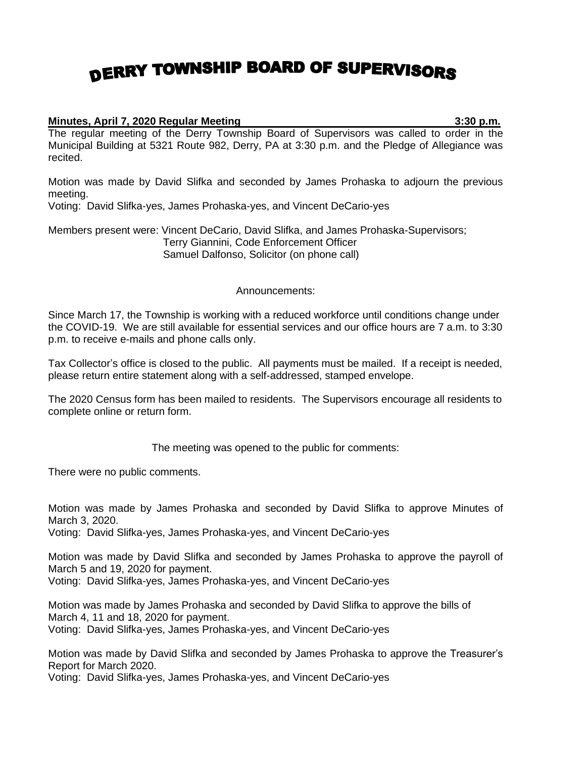## DERRY TOWNSHIP BOARD OF SUPERVISORS

## **Minutes, April 7, 2020 Regular Meeting 3:30 p.m.**

The regular meeting of the Derry Township Board of Supervisors was called to order in the Municipal Building at 5321 Route 982, Derry, PA at 3:30 p.m. and the Pledge of Allegiance was recited.

Motion was made by David Slifka and seconded by James Prohaska to adjourn the previous meeting.

Voting: David Slifka-yes, James Prohaska-yes, and Vincent DeCario-yes

Members present were: Vincent DeCario, David Slifka, and James Prohaska-Supervisors; Terry Giannini, Code Enforcement Officer Samuel Dalfonso, Solicitor (on phone call)

## Announcements:

Since March 17, the Township is working with a reduced workforce until conditions change under the COVID-19. We are still available for essential services and our office hours are 7 a.m. to 3:30 p.m. to receive e-mails and phone calls only.

Tax Collector's office is closed to the public. All payments must be mailed. If a receipt is needed, please return entire statement along with a self-addressed, stamped envelope.

The 2020 Census form has been mailed to residents. The Supervisors encourage all residents to complete online or return form.

The meeting was opened to the public for comments:

There were no public comments.

Motion was made by James Prohaska and seconded by David Slifka to approve Minutes of March 3, 2020.

Voting: David Slifka-yes, James Prohaska-yes, and Vincent DeCario-yes

Motion was made by David Slifka and seconded by James Prohaska to approve the payroll of March 5 and 19, 2020 for payment.

Voting: David Slifka-yes, James Prohaska-yes, and Vincent DeCario-yes

Motion was made by James Prohaska and seconded by David Slifka to approve the bills of March 4, 11 and 18, 2020 for payment.

Voting: David Slifka-yes, James Prohaska-yes, and Vincent DeCario-yes

Motion was made by David Slifka and seconded by James Prohaska to approve the Treasurer's Report for March 2020.

Voting: David Slifka-yes, James Prohaska-yes, and Vincent DeCario-yes